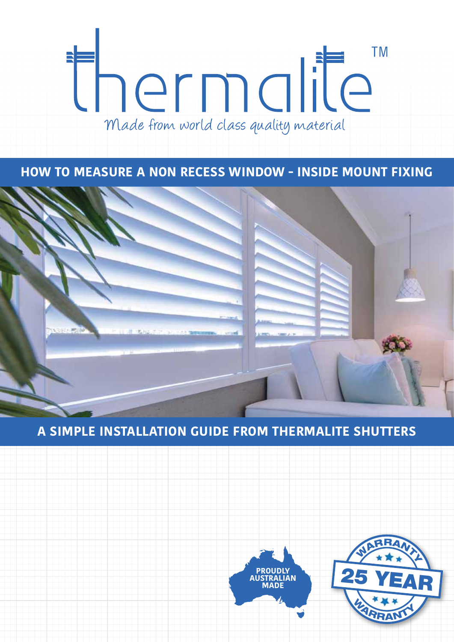# **TM** thermalite E Made from world class quality material

**HOW TO MEASURE A NON RECESS WINDOW - INSIDE MOUNT FIXING**



# **A SIMPLE INSTALLATION GUIDE FROM THERMALITE SHUTTERS**



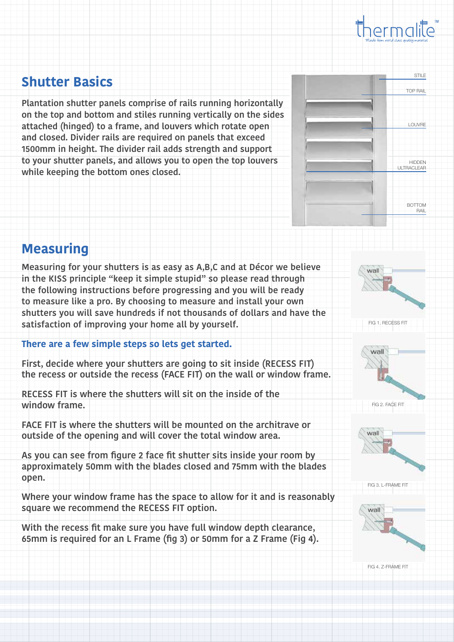

### **Shutter Basics**

**Plantation shutter panels comprise of rails running horizontally on the top and bottom and stiles running vertically on the sides attached (hinged) to a frame, and louvers which rotate open and closed. Divider rails are required on panels that exceed 1500mm in height. The divider rail adds strength and support to your shutter panels, and allows you to open the top louvers while keeping the bottom ones closed.**



## **Measuring**

**Measuring for your shutters is as easy as A,B,C and at Décor we believe in the KISS principle "keep it simple stupid" so please read through the following instructions before progressing and you will be ready to measure like a pro. By choosing to measure and install your own shutters you will save hundreds if not thousands of dollars and have the satisfaction of improving your home all by yourself.**

#### **There are a few simple steps so lets get started.**

**First, decide where your shutters are going to sit inside (RECESS FIT) the recess or outside the recess (FACE FIT) on the wall or window frame.** 

**RECESS FIT is where the shutters will sit on the inside of the window frame.** 

**FACE FIT is where the shutters will be mounted on the architrave or outside of the opening and will cover the total window area.**

**As you can see from figure 2 face fit shutter sits inside your room by approximately 50mm with the blades closed and 75mm with the blades open.** 

**Where your window frame has the space to allow for it and is reasonably square we recommend the RECESS FIT option.**

**With the recess fit make sure you have full window depth clearance, 65mm is required for an L Frame (fig 3) or 50mm for a Z Frame (Fig 4).** 



FIG 4. Z-FRAME FIT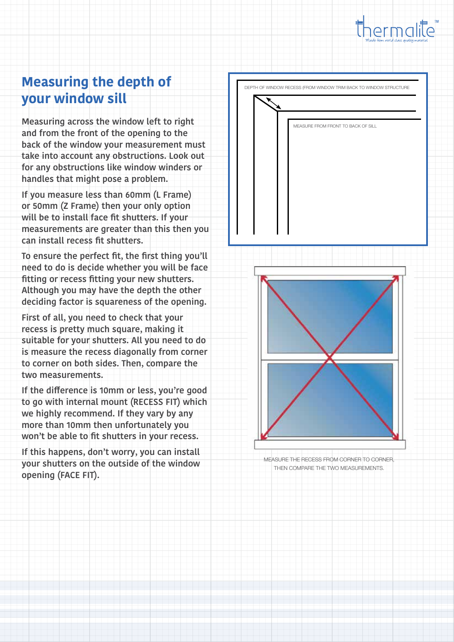

# **Measuring the depth of your window sill**

**Measuring across the window left to right and from the front of the opening to the back of the window your measurement must take into account any obstructions. Look out for any obstructions like window winders or handles that might pose a problem.**

**If you measure less than 60mm (L Frame) or 50mm (Z Frame) then your only option will be to install face fit shutters. If your measurements are greater than this then you can install recess fit shutters.**

**To ensure the perfect fit, the first thing you'll need to do is decide whether you will be face fitting or recess fitting your new shutters. Although you may have the depth the other deciding factor is squareness of the opening.**

**First of all, you need to check that your recess is pretty much square, making it suitable for your shutters. All you need to do is measure the recess diagonally from corner to corner on both sides. Then, compare the two measurements.** 

**If the difference is 10mm or less, you're good to go with internal mount (RECESS FIT) which we highly recommend. If they vary by any more than 10mm then unfortunately you won't be able to fit shutters in your recess.** 

**If this happens, don't worry, you can install your shutters on the outside of the window opening (FACE FIT).** 

DEPTH OF WINDOW RECESS (FROM WINDOW TRIM BACK TO WINDOW STRUCTURE MEASURE FROM FRONT TO BACK OF SILL



MEASURE THE RECESS FROM CORNER TO CORNER, THEN COMPARE THE TWO MEASUREMENTS.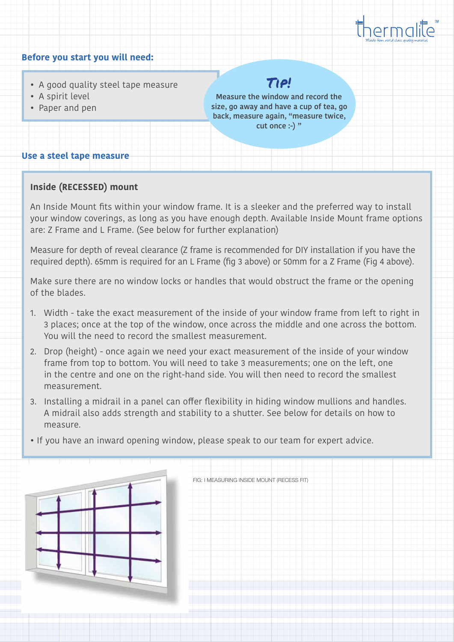

#### • A good quality steel tape measure • A spirit level • Paper and pen **Before you start you will need: Use a steel tape measure** Tip! **Measure the window and record the size, go away and have a cup of tea, go back, measure again, "measure twice, cut once :-) "**

### **Inside (RECESSED) mount**

An Inside Mount fits within your window frame. It is a sleeker and the preferred way to install your window coverings, as long as you have enough depth. Available Inside Mount frame options are: Z Frame and L Frame. (See below for further explanation)

Measure for depth of reveal clearance (Z frame is recommended for DIY installation if you have the required depth). 65mm is required for an L Frame (fig 3 above) or 50mm for a Z Frame (Fig 4 above).

Make sure there are no window locks or handles that would obstruct the frame or the opening of the blades.

- 1. Width take the exact measurement of the inside of your window frame from left to right in 3 places; once at the top of the window, once across the middle and one across the bottom. You will the need to record the smallest measurement.
- 2. Drop (height) once again we need your exact measurement of the inside of your window frame from top to bottom. You will need to take 3 measurements; one on the left, one in the centre and one on the right-hand side. You will then need to record the smallest measurement.
- 3. Installing a midrail in a panel can offer flexibility in hiding window mullions and handles. A midrail also adds strength and stability to a shutter. See below for details on how to measure.
- If you have an inward opening window, please speak to our team for expert advice.



FIG: I MEASURING INSIDE MOUNT (RECESS FIT)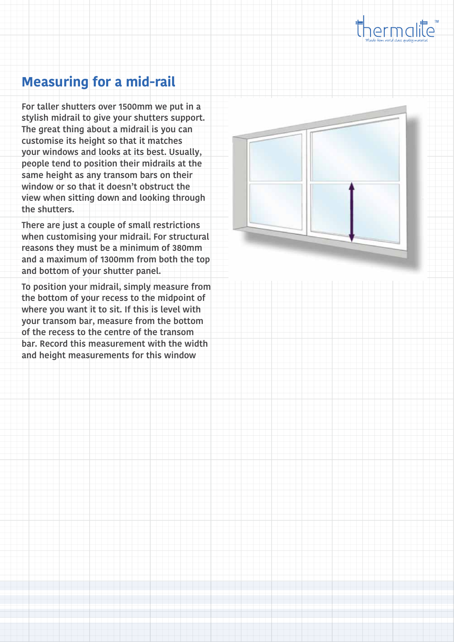

## **Measuring for a mid-rail**

**For taller shutters over 1500mm we put in a stylish midrail to give your shutters support. The great thing about a midrail is you can customise its height so that it matches your windows and looks at its best. Usually, people tend to position their midrails at the same height as any transom bars on their window or so that it doesn't obstruct the view when sitting down and looking through the shutters.**

**There are just a couple of small restrictions when customising your midrail. For structural reasons they must be a minimum of 380mm and a maximum of 1300mm from both the top and bottom of your shutter panel.**

**To position your midrail, simply measure from the bottom of your recess to the midpoint of where you want it to sit. If this is level with your transom bar, measure from the bottom of the recess to the centre of the transom bar. Record this measurement with the width and height measurements for this window**

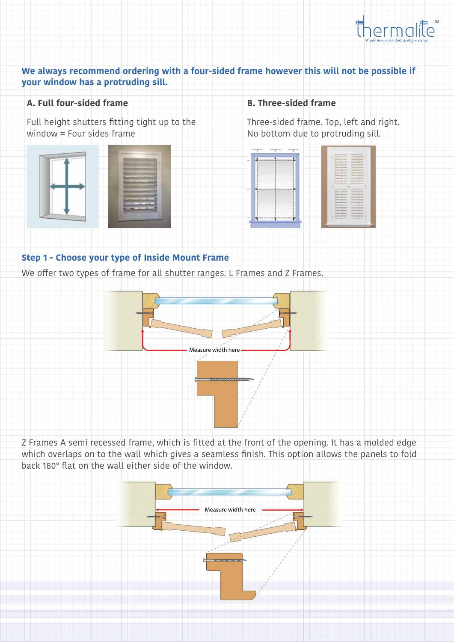

#### **We always recommend ordering with a four-sided frame however this will not be possible if your window has a protruding sill.**

#### **A. Full four-sided frame**

Full height shutters fitting tight up to the window = Four sides frame



#### **B. Three-sided frame**

Three-sided frame. Top, left and right. No bottom due to protruding sill.



#### **Step 1 - Choose your type of Inside Mount Frame**

We offer two types of frame for all shutter ranges. L Frames and Z Frames.



Z Frames A semi recessed frame, which is fitted at the front of the opening. It has a molded edge which overlaps on to the wall which gives a seamless finish. This option allows the panels to fold back 180° flat on the wall either side of the window.

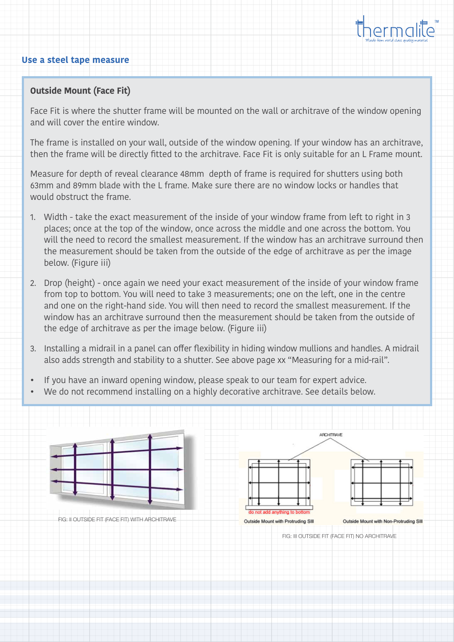

#### **Use a steel tape measure**

#### **Outside Mount (Face Fit)**

Face Fit is where the shutter frame will be mounted on the wall or architrave of the window opening and will cover the entire window.

The frame is installed on your wall, outside of the window opening. If your window has an architrave, then the frame will be directly fitted to the architrave. Face Fit is only suitable for an L Frame mount.

Measure for depth of reveal clearance 48mm depth of frame is required for shutters using both 63mm and 89mm blade with the L frame. Make sure there are no window locks or handles that would obstruct the frame.

- 1. Width take the exact measurement of the inside of your window frame from left to right in 3 places; once at the top of the window, once across the middle and one across the bottom. You will the need to record the smallest measurement. If the window has an architrave surround then the measurement should be taken from the outside of the edge of architrave as per the image below. (Figure iii)
- 2. Drop (height) once again we need your exact measurement of the inside of your window frame from top to bottom. You will need to take 3 measurements; one on the left, one in the centre and one on the right-hand side. You will then need to record the smallest measurement. If the window has an architrave surround then the measurement should be taken from the outside of the edge of architrave as per the image below. (Figure iii)
- 3. Installing a midrail in a panel can offer flexibility in hiding window mullions and handles. A midrail also adds strength and stability to a shutter. See above page xx "Measuring for a mid-rail".
- If you have an inward opening window, please speak to our team for expert advice.
- We do not recommend installing on a highly decorative architrave. See details below.

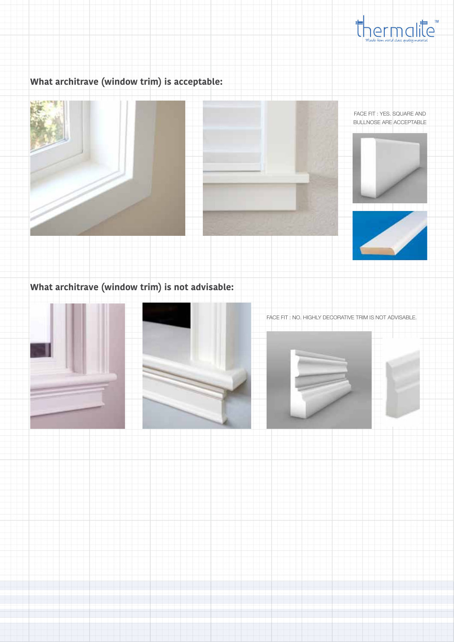

### **What architrave (window trim) is acceptable:**









### **What architrave (window trim) is not advisable:**





FACE FIT : NO. HIGHLY DECORATIVE TRIM IS NOT ADVISABLE.